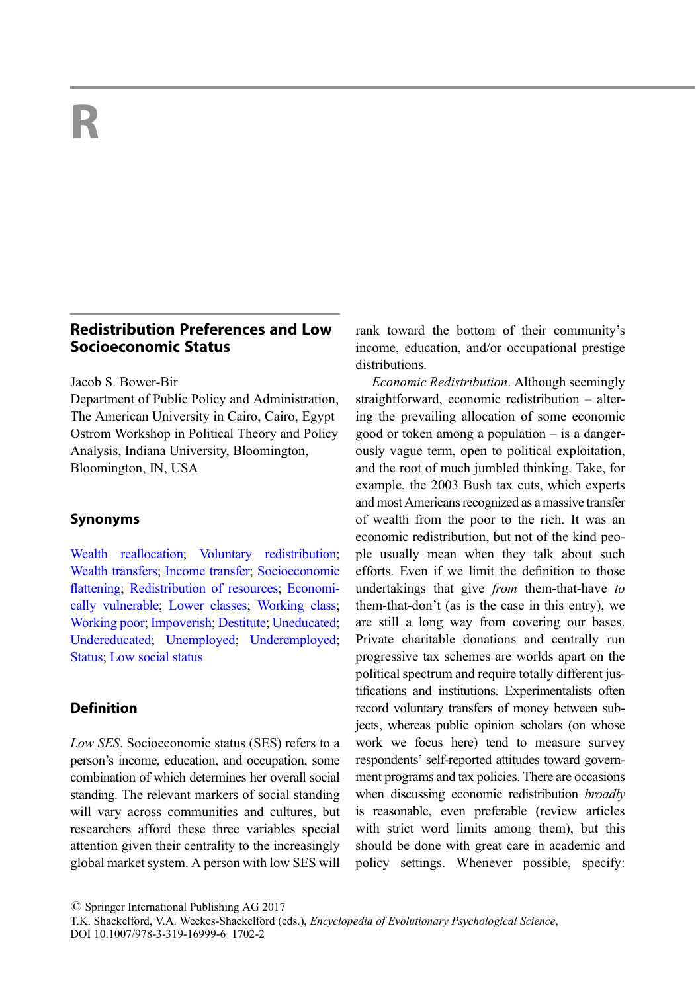# Redistribution Preferences and Low Socioeconomic Status

Jacob S. Bower-Bir

Department of Public Policy and Administration, The American University in Cairo, Cairo, Egypt Ostrom Workshop in Political Theory and Policy Analysis, Indiana University, Bloomington, Bloomington, IN, USA

## Synonyms

[Wealth reallocation;](http://link.springer.com/Wealth Reallocation) [Voluntary redistribution;](http://link.springer.com/Voluntary redistribution) [Wealth transfers](http://link.springer.com/Wealth Transfers); [Income transfer](http://link.springer.com/Income Transfer); [Socioeconomic](http://link.springer.com/Socioeconomic Flattening) fl[attening](http://link.springer.com/Socioeconomic Flattening); [Redistribution of resources;](http://link.springer.com/Redistribution of Resources) [Economi](http://link.springer.com/Economically Vulnerable)[cally vulnerable](http://link.springer.com/Economically Vulnerable); [Lower classes](http://link.springer.com/Lower Classes); [Working class;](http://link.springer.com/Working Class) [Working poor;](http://link.springer.com/Working Poor) [Impoverish;](http://link.springer.com/Impoverish) [Destitute;](http://link.springer.com/Destitute) [Uneducated;](http://link.springer.com/Uneducated) [Undereducated;](http://link.springer.com/Undereducated) [Unemployed;](http://link.springer.com/Unemployed) [Underemployed;](http://link.springer.com/Underemployed) [Status;](http://link.springer.com/Status) [Low social status](http://link.springer.com/Low social status)

## **Definition**

Low SES. Socioeconomic status (SES) refers to a person's income, education, and occupation, some combination of which determines her overall social standing. The relevant markers of social standing will vary across communities and cultures, but researchers afford these three variables special attention given their centrality to the increasingly global market system. A person with low SES will rank toward the bottom of their community's income, education, and/or occupational prestige distributions.

Economic Redistribution. Although seemingly straightforward, economic redistribution – altering the prevailing allocation of some economic good or token among a population – is a dangerously vague term, open to political exploitation, and the root of much jumbled thinking. Take, for example, the 2003 Bush tax cuts, which experts and most Americans recognized as a massive transfer of wealth from the poor to the rich. It was an economic redistribution, but not of the kind people usually mean when they talk about such efforts. Even if we limit the definition to those undertakings that give from them-that-have to them-that-don't (as is the case in this entry), we are still a long way from covering our bases. Private charitable donations and centrally run progressive tax schemes are worlds apart on the political spectrum and require totally different justifications and institutions. Experimentalists often record voluntary transfers of money between subjects, whereas public opinion scholars (on whose work we focus here) tend to measure survey respondents' self-reported attitudes toward government programs and tax policies. There are occasions when discussing economic redistribution broadly is reasonable, even preferable (review articles with strict word limits among them), but this should be done with great care in academic and policy settings. Whenever possible, specify:

 $\oslash$  Springer International Publishing AG 2017

T.K. Shackelford, V.A. Weekes-Shackelford (eds.), Encyclopedia of Evolutionary Psychological Science, DOI 10.1007/978-3-319-16999-6\_1702-2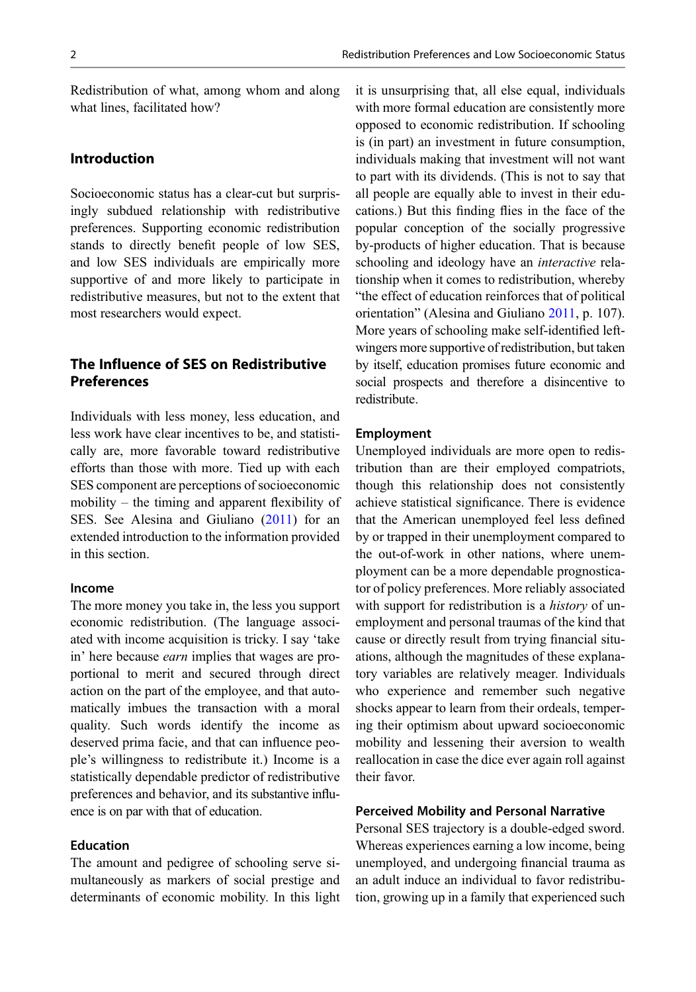Redistribution of what, among whom and along what lines, facilitated how?

## Introduction

Socioeconomic status has a clear-cut but surprisingly subdued relationship with redistributive preferences. Supporting economic redistribution stands to directly benefit people of low SES, and low SES individuals are empirically more supportive of and more likely to participate in redistributive measures, but not to the extent that most researchers would expect.

# The Influence of SES on Redistributive **Preferences**

Individuals with less money, less education, and less work have clear incentives to be, and statistically are, more favorable toward redistributive efforts than those with more. Tied up with each SES component are perceptions of socioeconomic mobility – the timing and apparent flexibility of SES. See Alesina and Giuliano ([2011](#page-4-0)) for an extended introduction to the information provided in this section.

### Income

The more money you take in, the less you support economic redistribution. (The language associated with income acquisition is tricky. I say 'take in' here because earn implies that wages are proportional to merit and secured through direct action on the part of the employee, and that automatically imbues the transaction with a moral quality. Such words identify the income as deserved prima facie, and that can influence people's willingness to redistribute it.) Income is a statistically dependable predictor of redistributive preferences and behavior, and its substantive influence is on par with that of education.

#### Education

The amount and pedigree of schooling serve simultaneously as markers of social prestige and determinants of economic mobility. In this light it is unsurprising that, all else equal, individuals with more formal education are consistently more opposed to economic redistribution. If schooling is (in part) an investment in future consumption, individuals making that investment will not want to part with its dividends. (This is not to say that all people are equally able to invest in their educations.) But this finding flies in the face of the popular conception of the socially progressive by-products of higher education. That is because schooling and ideology have an interactive relationship when it comes to redistribution, whereby "the effect of education reinforces that of political orientation" (Alesina and Giuliano [2011,](#page-4-0) p. 107). More years of schooling make self-identified leftwingers more supportive of redistribution, but taken by itself, education promises future economic and social prospects and therefore a disincentive to redistribute.

### Employment

Unemployed individuals are more open to redistribution than are their employed compatriots, though this relationship does not consistently achieve statistical significance. There is evidence that the American unemployed feel less defined by or trapped in their unemployment compared to the out-of-work in other nations, where unemployment can be a more dependable prognosticator of policy preferences. More reliably associated with support for redistribution is a *history* of unemployment and personal traumas of the kind that cause or directly result from trying financial situations, although the magnitudes of these explanatory variables are relatively meager. Individuals who experience and remember such negative shocks appear to learn from their ordeals, tempering their optimism about upward socioeconomic mobility and lessening their aversion to wealth reallocation in case the dice ever again roll against their favor.

### Perceived Mobility and Personal Narrative

Personal SES trajectory is a double-edged sword. Whereas experiences earning a low income, being unemployed, and undergoing financial trauma as an adult induce an individual to favor redistribution, growing up in a family that experienced such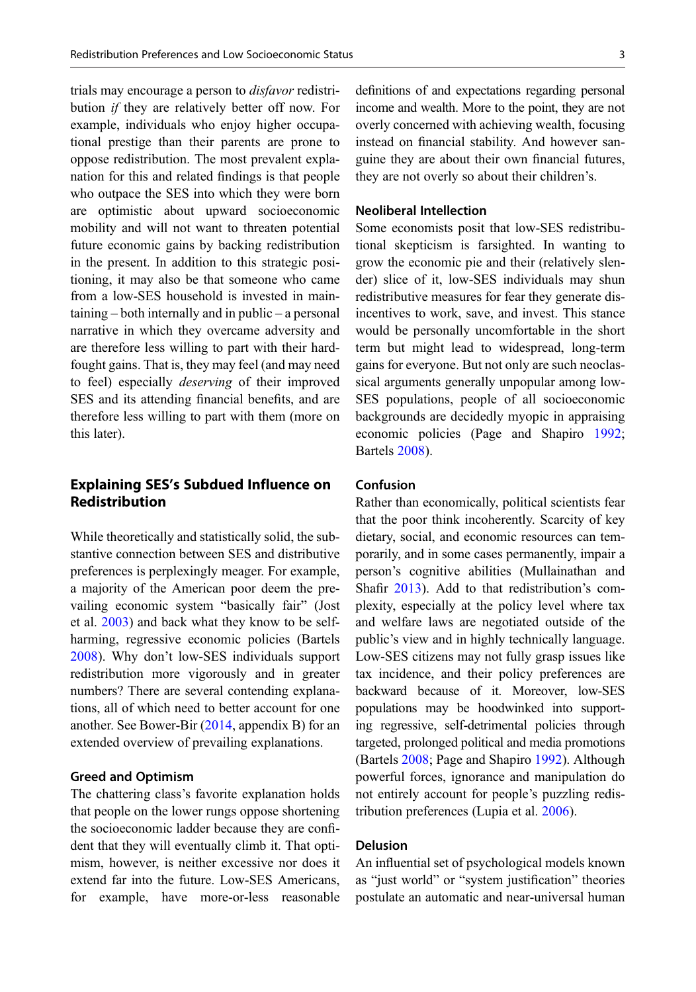trials may encourage a person to disfavor redistribution if they are relatively better off now. For example, individuals who enjoy higher occupational prestige than their parents are prone to oppose redistribution. The most prevalent explanation for this and related findings is that people who outpace the SES into which they were born are optimistic about upward socioeconomic mobility and will not want to threaten potential future economic gains by backing redistribution in the present. In addition to this strategic positioning, it may also be that someone who came from a low-SES household is invested in maintaining – both internally and in public – a personal narrative in which they overcame adversity and are therefore less willing to part with their hardfought gains. That is, they may feel (and may need to feel) especially deserving of their improved SES and its attending financial benefits, and are therefore less willing to part with them (more on this later).

# Explaining SES's Subdued Influence on Redistribution

While theoretically and statistically solid, the substantive connection between SES and distributive preferences is perplexingly meager. For example, a majority of the American poor deem the prevailing economic system "basically fair" (Jost et al. [2003\)](#page-4-0) and back what they know to be selfharming, regressive economic policies (Bartels [2008\)](#page-4-0). Why don't low-SES individuals support redistribution more vigorously and in greater numbers? There are several contending explanations, all of which need to better account for one another. See Bower-Bir ([2014,](#page-4-0) appendix B) for an extended overview of prevailing explanations.

#### Greed and Optimism

The chattering class's favorite explanation holds that people on the lower rungs oppose shortening the socioeconomic ladder because they are confident that they will eventually climb it. That optimism, however, is neither excessive nor does it extend far into the future. Low-SES Americans, for example, have more-or-less reasonable definitions of and expectations regarding personal income and wealth. More to the point, they are not overly concerned with achieving wealth, focusing instead on financial stability. And however sanguine they are about their own financial futures, they are not overly so about their children's.

### Neoliberal Intellection

Some economists posit that low-SES redistributional skepticism is farsighted. In wanting to grow the economic pie and their (relatively slender) slice of it, low-SES individuals may shun redistributive measures for fear they generate disincentives to work, save, and invest. This stance would be personally uncomfortable in the short term but might lead to widespread, long-term gains for everyone. But not only are such neoclassical arguments generally unpopular among low-SES populations, people of all socioeconomic backgrounds are decidedly myopic in appraising economic policies (Page and Shapiro [1992;](#page-4-0) Bartels [2008](#page-4-0)).

## Confusion

Rather than economically, political scientists fear that the poor think incoherently. Scarcity of key dietary, social, and economic resources can temporarily, and in some cases permanently, impair a person's cognitive abilities (Mullainathan and Shafir [2013\)](#page-4-0). Add to that redistribution's complexity, especially at the policy level where tax and welfare laws are negotiated outside of the public's view and in highly technically language. Low-SES citizens may not fully grasp issues like tax incidence, and their policy preferences are backward because of it. Moreover, low-SES populations may be hoodwinked into supporting regressive, self-detrimental policies through targeted, prolonged political and media promotions (Bartels [2008](#page-4-0); Page and Shapiro [1992\)](#page-4-0). Although powerful forces, ignorance and manipulation do not entirely account for people's puzzling redistribution preferences (Lupia et al. [2006](#page-4-0)).

### Delusion

An influential set of psychological models known as "just world" or "system justification" theories postulate an automatic and near-universal human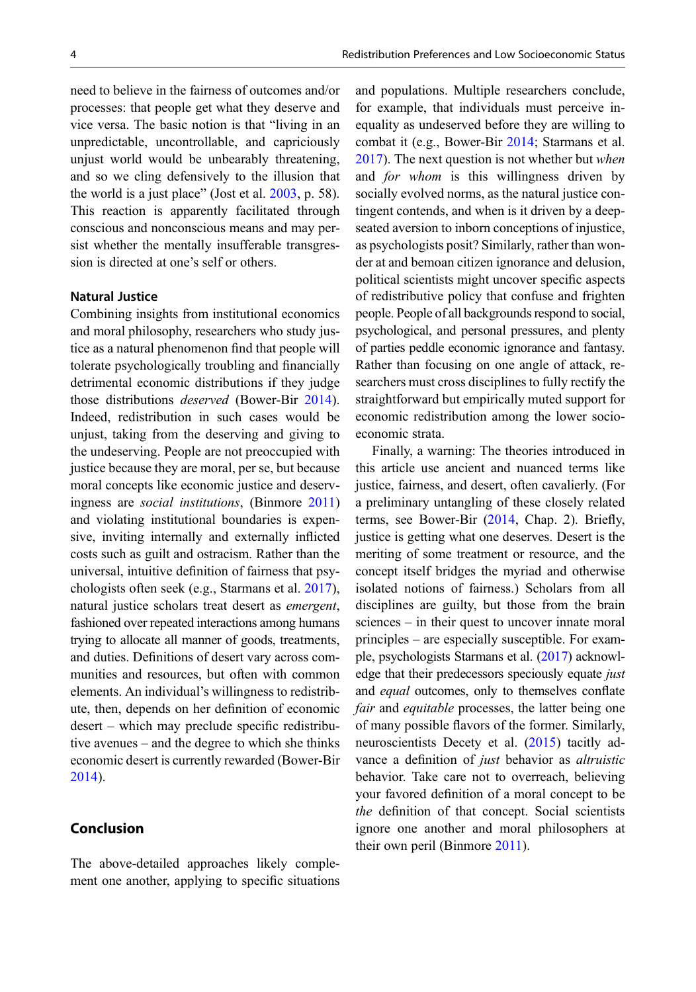need to believe in the fairness of outcomes and/or processes: that people get what they deserve and vice versa. The basic notion is that "living in an unpredictable, uncontrollable, and capriciously unjust world would be unbearably threatening, and so we cling defensively to the illusion that the world is a just place" (Jost et al. [2003,](#page-4-0) p. 58). This reaction is apparently facilitated through conscious and nonconscious means and may persist whether the mentally insufferable transgression is directed at one's self or others.

## Natural Justice

Combining insights from institutional economics and moral philosophy, researchers who study justice as a natural phenomenon find that people will tolerate psychologically troubling and financially detrimental economic distributions if they judge those distributions deserved (Bower-Bir [2014\)](#page-4-0). Indeed, redistribution in such cases would be unjust, taking from the deserving and giving to the undeserving. People are not preoccupied with justice because they are moral, per se, but because moral concepts like economic justice and deservingness are social institutions, (Binmore [2011](#page-4-0)) and violating institutional boundaries is expensive, inviting internally and externally inflicted costs such as guilt and ostracism. Rather than the universal, intuitive definition of fairness that psychologists often seek (e.g., Starmans et al. [2017\)](#page-4-0), natural justice scholars treat desert as emergent, fashioned over repeated interactions among humans trying to allocate all manner of goods, treatments, and duties. Definitions of desert vary across communities and resources, but often with common elements. An individual's willingness to redistribute, then, depends on her definition of economic desert – which may preclude specific redistributive avenues – and the degree to which she thinks economic desert is currently rewarded (Bower-Bir [2014\)](#page-4-0).

# Conclusion

The above-detailed approaches likely complement one another, applying to specific situations and populations. Multiple researchers conclude, for example, that individuals must perceive inequality as undeserved before they are willing to combat it (e.g., Bower-Bir [2014;](#page-4-0) Starmans et al. [2017\)](#page-4-0). The next question is not whether but when and *for whom* is this willingness driven by socially evolved norms, as the natural justice contingent contends, and when is it driven by a deepseated aversion to inborn conceptions of injustice, as psychologists posit? Similarly, rather than wonder at and bemoan citizen ignorance and delusion, political scientists might uncover specific aspects of redistributive policy that confuse and frighten people. People of all backgrounds respond to social, psychological, and personal pressures, and plenty of parties peddle economic ignorance and fantasy. Rather than focusing on one angle of attack, researchers must cross disciplines to fully rectify the straightforward but empirically muted support for economic redistribution among the lower socioeconomic strata.

Finally, a warning: The theories introduced in this article use ancient and nuanced terms like justice, fairness, and desert, often cavalierly. (For a preliminary untangling of these closely related terms, see Bower-Bir ([2014,](#page-4-0) Chap. 2). Briefly, justice is getting what one deserves. Desert is the meriting of some treatment or resource, and the concept itself bridges the myriad and otherwise isolated notions of fairness.) Scholars from all disciplines are guilty, but those from the brain sciences – in their quest to uncover innate moral principles – are especially susceptible. For example, psychologists Starmans et al. ([2017\)](#page-4-0) acknowledge that their predecessors speciously equate *just* and *equal* outcomes, only to themselves conflate fair and equitable processes, the latter being one of many possible flavors of the former. Similarly, neuroscientists Decety et al. ([2015\)](#page-4-0) tacitly advance a definition of just behavior as altruistic behavior. Take care not to overreach, believing your favored definition of a moral concept to be the definition of that concept. Social scientists ignore one another and moral philosophers at their own peril (Binmore [2011\)](#page-4-0).